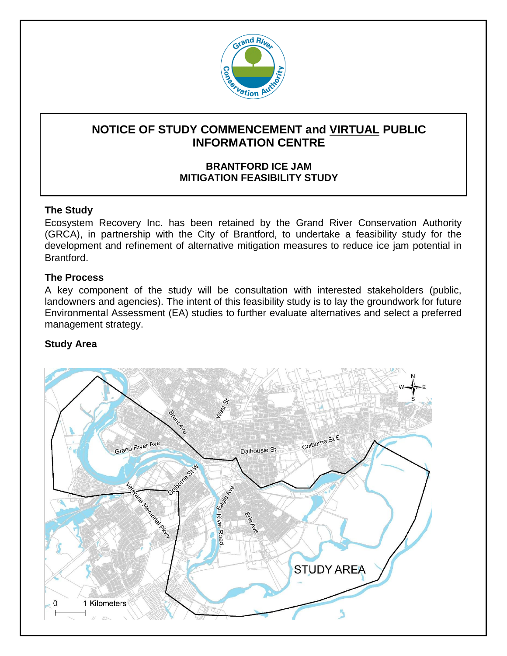

# **NOTICE OF STUDY COMMENCEMENT and VIRTUAL PUBLIC INFORMATION CENTRE**

### **BRANTFORD ICE JAM MITIGATION FEASIBILITY STUDY**

#### **The Study**

Ecosystem Recovery Inc. has been retained by the Grand River Conservation Authority (GRCA), in partnership with the City of Brantford, to undertake a feasibility study for the development and refinement of alternative mitigation measures to reduce ice jam potential in Brantford.

#### **The Process**

A key component of the study will be consultation with interested stakeholders (public, landowners and agencies). The intent of this feasibility study is to lay the groundwork for future Environmental Assessment (EA) studies to further evaluate alternatives and select a preferred management strategy.

## **Study Area**